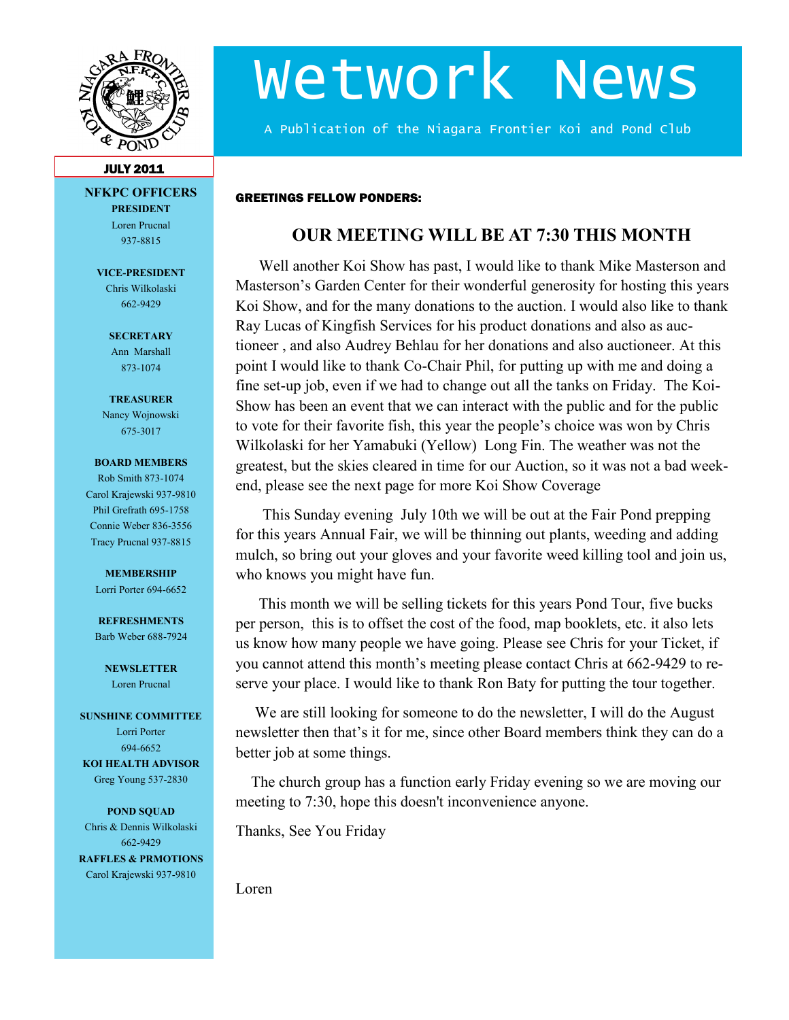

# Wetwork News

A Publication of the Niagara Frontier Koi and Pond Club

#### JULY 2011

**NFKPC OFFICERS PRESIDENT** Loren Prucnal

937-8815

**VICE-PRESIDENT** Chris Wilkolaski 662-9429

> **SECRETARY** Ann Marshall 873-1074

**TREASURER** Nancy Wojnowski 675-3017

#### **BOARD MEMBERS**

Rob Smith 873-1074 Carol Krajewski 937-9810 Phil Grefrath 695-1758 Connie Weber 836-3556 Tracy Prucnal 937-8815

#### **MEMBERSHIP**

Lorri Porter 694-6652

**REFRESHMENTS** Barb Weber 688-7924

> **NEWSLETTER** Loren Prucnal

#### **SUNSHINE COMMITTEE**

Lorri Porter 694-6652 **KOI HEALTH ADVISOR** Greg Young 537-2830

**POND SQUAD** Chris & Dennis Wilkolaski 662-9429 **RAFFLES & PRMOTIONS**

Carol Krajewski 937-9810

# **OUR MEETING WILL BE AT 7:30 THIS MONTH**

 Well another Koi Show has past, I would like to thank Mike Masterson and Masterson's Garden Center for their wonderful generosity for hosting this years Koi Show, and for the many donations to the auction. I would also like to thank Ray Lucas of Kingfish Services for his product donations and also as auctioneer , and also Audrey Behlau for her donations and also auctioneer. At this point I would like to thank Co-Chair Phil, for putting up with me and doing a fine set-up job, even if we had to change out all the tanks on Friday. The Koi-Show has been an event that we can interact with the public and for the public to vote for their favorite fish, this year the people's choice was won by Chris Wilkolaski for her Yamabuki (Yellow) Long Fin. The weather was not the greatest, but the skies cleared in time for our Auction, so it was not a bad weekend, please see the next page for more Koi Show Coverage

 This Sunday evening July 10th we will be out at the Fair Pond prepping for this years Annual Fair, we will be thinning out plants, weeding and adding mulch, so bring out your gloves and your favorite weed killing tool and join us, who knows you might have fun.

 This month we will be selling tickets for this years Pond Tour, five bucks per person, this is to offset the cost of the food, map booklets, etc. it also lets us know how many people we have going. Please see Chris for your Ticket, if you cannot attend this month's meeting please contact Chris at 662-9429 to reserve your place. I would like to thank Ron Baty for putting the tour together.

 We are still looking for someone to do the newsletter, I will do the August newsletter then that's it for me, since other Board members think they can do a better job at some things.

 The church group has a function early Friday evening so we are moving our meeting to 7:30, hope this doesn't inconvenience anyone.

Thanks, See You Friday

GREETINGS FELLOW PONDERS:

Loren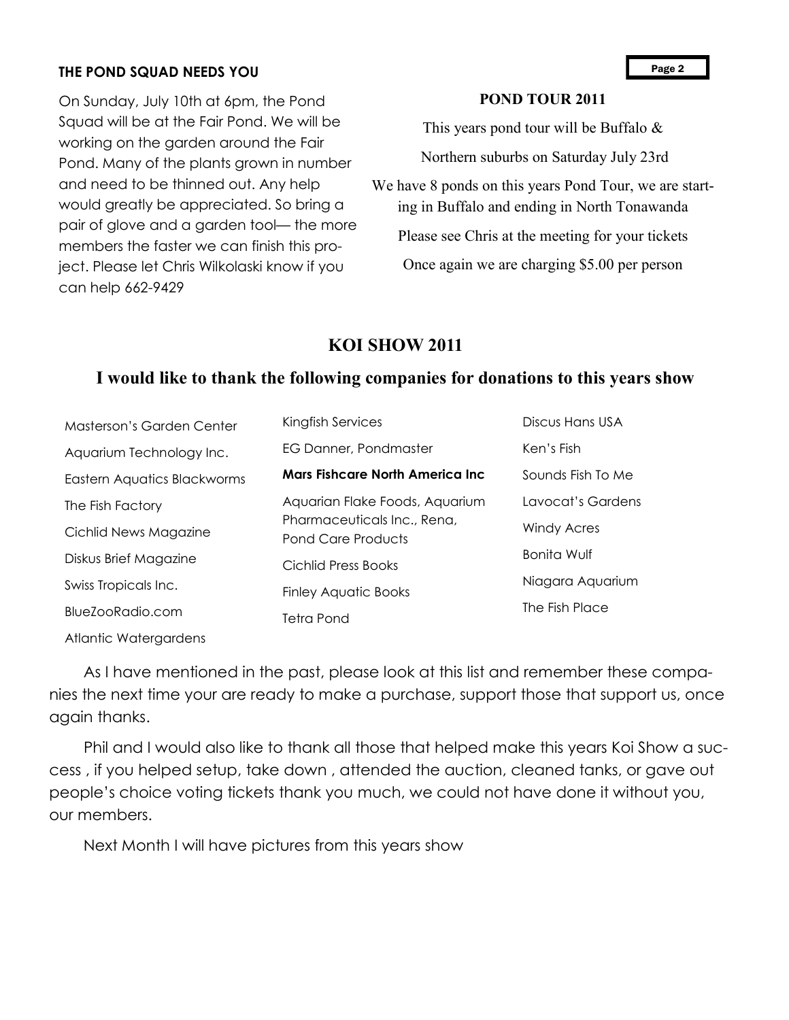### **THE POND SQUAD NEEDS YOU**

On Sunday, July 10th at 6pm, the Pond Squad will be at the Fair Pond. We will be working on the garden around the Fair Pond. Many of the plants grown in number and need to be thinned out. Any help would greatly be appreciated. So bring a pair of glove and a garden tool— the more members the faster we can finish this project. Please let Chris Wilkolaski know if you can help 662-9429

## **POND TOUR 2011**

This years pond tour will be Buffalo &

Northern suburbs on Saturday July 23rd

We have 8 ponds on this years Pond Tour, we are starting in Buffalo and ending in North Tonawanda

Please see Chris at the meeting for your tickets

Once again we are charging \$5.00 per person

# **KOI SHOW 2011**

# **I would like to thank the following companies for donations to this years show**

| Masterson's Garden Center   | Kingfish Services                                        | Discus Hans USA    |
|-----------------------------|----------------------------------------------------------|--------------------|
| Aquarium Technology Inc.    | EG Danner, Pondmaster                                    | Ken's Fish         |
| Eastern Aquatics Blackworms | Mars Fishcare North America Inc.                         | Sounds Fish To Me  |
| The Fish Factory            | Aquarian Flake Foods, Aquarium                           | Lavocat's Gardens  |
| Cichlid News Magazine       | Pharmaceuticals Inc., Rena,<br><b>Pond Care Products</b> | <b>Windy Acres</b> |
| Diskus Brief Magazine       | Cichlid Press Books                                      | <b>Bonita Wulf</b> |
| Swiss Tropicals Inc.        | <b>Finley Aquatic Books</b>                              | Niagara Aquarium   |
| BlueZooRadio.com            | Tetra Pond                                               | The Fish Place     |
|                             |                                                          |                    |

Atlantic Watergardens

 As I have mentioned in the past, please look at this list and remember these companies the next time your are ready to make a purchase, support those that support us, once again thanks.

 Phil and I would also like to thank all those that helped make this years Koi Show a success , if you helped setup, take down , attended the auction, cleaned tanks, or gave out people's choice voting tickets thank you much, we could not have done it without you, our members.

Next Month I will have pictures from this years show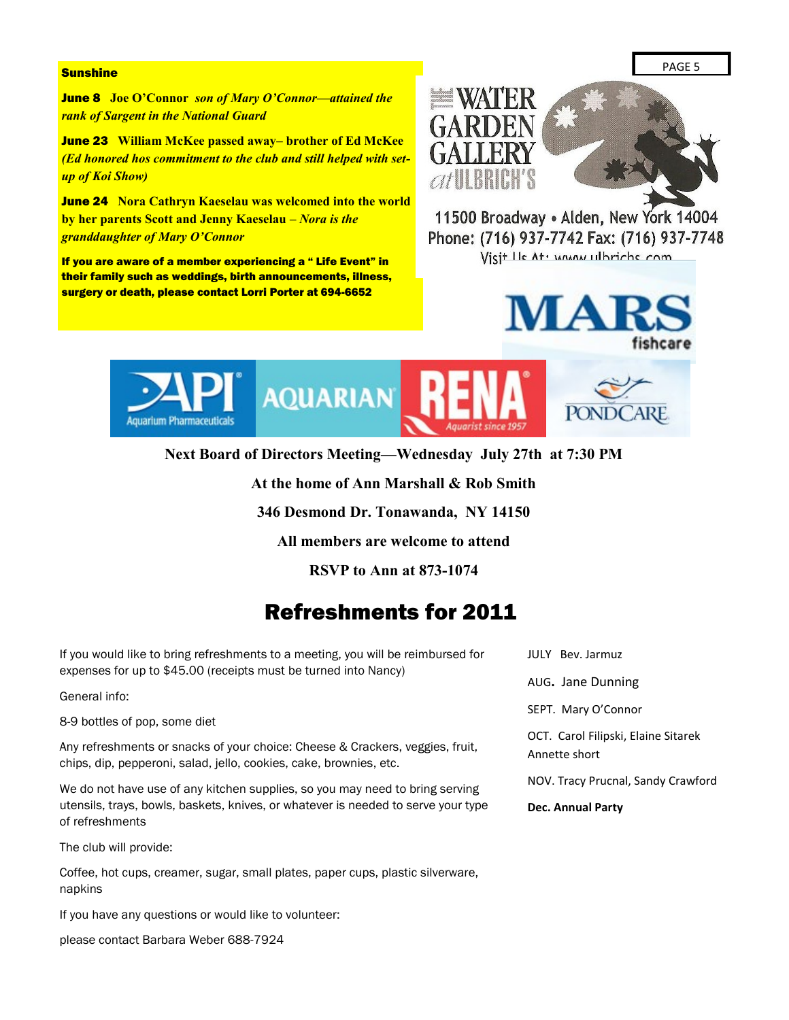#### **Sunshine**

June 8 **Joe O'Connor** *son of Mary O'Connor—attained the rank of Sargent in the National Guard*

June 23 **William McKee passed away– brother of Ed McKee**  *(Ed honored hos commitment to the club and still helped with setup of Koi Show)*

June 24 **Nora Cathryn Kaeselau was welcomed into the world by her parents Scott and Jenny Kaeselau –** *Nora is the granddaughter of Mary O'Connor*

If you are aware of a member experiencing a " Life Event" in their family such as weddings, birth announcements, illness, surgery or death, please contact Lorri Porter at 694-6652



11500 Broadway . Alden, New York 14004 Phone: (716) 937-7742 Fax: (716) 937-7748 Visit He At . WAAN ulhrichs com





**Next Board of Directors Meeting—Wednesday July 27th at 7:30 PM**

**At the home of Ann Marshall & Rob Smith**

**346 Desmond Dr. Tonawanda, NY 14150**

**All members are welcome to attend**

**RSVP to Ann at 873-1074**

# Refreshments for 2011

If you would like to bring refreshments to a meeting, you will be reimbursed for expenses for up to \$45.00 (receipts must be turned into Nancy)

General info:

8-9 bottles of pop, some diet

Any refreshments or snacks of your choice: Cheese & Crackers, veggies, fruit, chips, dip, pepperoni, salad, jello, cookies, cake, brownies, etc.

We do not have use of any kitchen supplies, so you may need to bring serving utensils, trays, bowls, baskets, knives, or whatever is needed to serve your type of refreshments

The club will provide:

Coffee, hot cups, creamer, sugar, small plates, paper cups, plastic silverware, napkins

If you have any questions or would like to volunteer:

please contact Barbara Weber 688-7924

JULY Bev. Jarmuz AUG**.** Jane Dunning SEPT. Mary O'Connor OCT. Carol Filipski, Elaine Sitarek Annette short NOV. Tracy Prucnal, Sandy Crawford **Dec. Annual Party**

PAGE 5